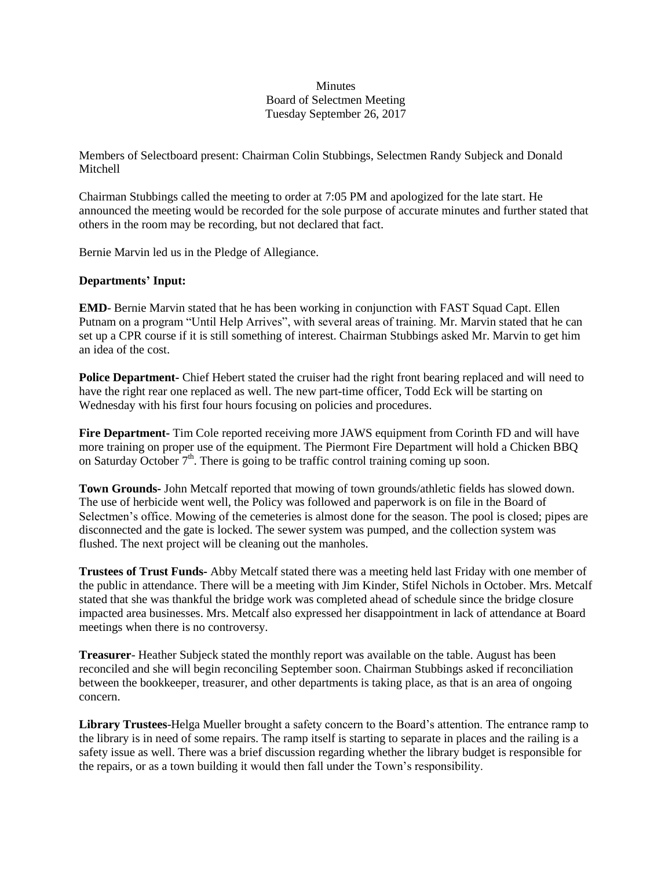## **Minutes** Board of Selectmen Meeting Tuesday September 26, 2017

Members of Selectboard present: Chairman Colin Stubbings, Selectmen Randy Subjeck and Donald **Mitchell** 

Chairman Stubbings called the meeting to order at 7:05 PM and apologized for the late start. He announced the meeting would be recorded for the sole purpose of accurate minutes and further stated that others in the room may be recording, but not declared that fact.

Bernie Marvin led us in the Pledge of Allegiance.

## **Departments' Input:**

**EMD**- Bernie Marvin stated that he has been working in conjunction with FAST Squad Capt. Ellen Putnam on a program "Until Help Arrives", with several areas of training. Mr. Marvin stated that he can set up a CPR course if it is still something of interest. Chairman Stubbings asked Mr. Marvin to get him an idea of the cost.

**Police Department-** Chief Hebert stated the cruiser had the right front bearing replaced and will need to have the right rear one replaced as well. The new part-time officer, Todd Eck will be starting on Wednesday with his first four hours focusing on policies and procedures.

**Fire Department-** Tim Cole reported receiving more JAWS equipment from Corinth FD and will have more training on proper use of the equipment. The Piermont Fire Department will hold a Chicken BBQ on Saturday October  $7<sup>th</sup>$ . There is going to be traffic control training coming up soon.

**Town Grounds-** John Metcalf reported that mowing of town grounds/athletic fields has slowed down. The use of herbicide went well, the Policy was followed and paperwork is on file in the Board of Selectmen's office. Mowing of the cemeteries is almost done for the season. The pool is closed; pipes are disconnected and the gate is locked. The sewer system was pumped, and the collection system was flushed. The next project will be cleaning out the manholes.

**Trustees of Trust Funds-** Abby Metcalf stated there was a meeting held last Friday with one member of the public in attendance. There will be a meeting with Jim Kinder, Stifel Nichols in October. Mrs. Metcalf stated that she was thankful the bridge work was completed ahead of schedule since the bridge closure impacted area businesses. Mrs. Metcalf also expressed her disappointment in lack of attendance at Board meetings when there is no controversy.

**Treasurer**- Heather Subjeck stated the monthly report was available on the table. August has been reconciled and she will begin reconciling September soon. Chairman Stubbings asked if reconciliation between the bookkeeper, treasurer, and other departments is taking place, as that is an area of ongoing concern.

**Library Trustees**-Helga Mueller brought a safety concern to the Board's attention. The entrance ramp to the library is in need of some repairs. The ramp itself is starting to separate in places and the railing is a safety issue as well. There was a brief discussion regarding whether the library budget is responsible for the repairs, or as a town building it would then fall under the Town's responsibility.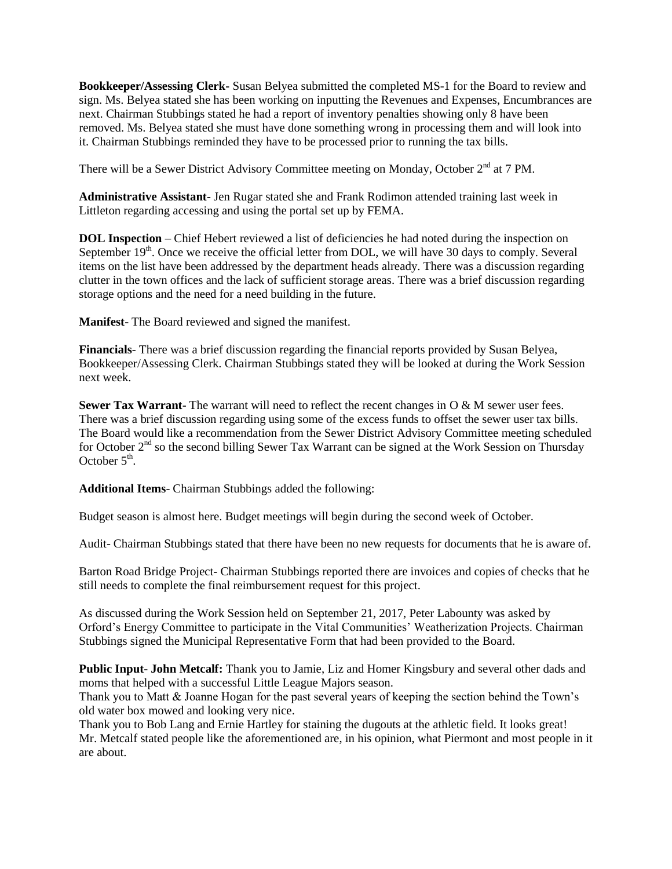**Bookkeeper/Assessing Clerk-** Susan Belyea submitted the completed MS-1 for the Board to review and sign. Ms. Belyea stated she has been working on inputting the Revenues and Expenses, Encumbrances are next. Chairman Stubbings stated he had a report of inventory penalties showing only 8 have been removed. Ms. Belyea stated she must have done something wrong in processing them and will look into it. Chairman Stubbings reminded they have to be processed prior to running the tax bills.

There will be a Sewer District Advisory Committee meeting on Monday, October 2<sup>nd</sup> at 7 PM.

**Administrative Assistant-** Jen Rugar stated she and Frank Rodimon attended training last week in Littleton regarding accessing and using the portal set up by FEMA.

**DOL Inspection** – Chief Hebert reviewed a list of deficiencies he had noted during the inspection on September  $19<sup>th</sup>$ . Once we receive the official letter from DOL, we will have 30 days to comply. Several items on the list have been addressed by the department heads already. There was a discussion regarding clutter in the town offices and the lack of sufficient storage areas. There was a brief discussion regarding storage options and the need for a need building in the future.

**Manifest**- The Board reviewed and signed the manifest.

**Financials**- There was a brief discussion regarding the financial reports provided by Susan Belyea, Bookkeeper/Assessing Clerk. Chairman Stubbings stated they will be looked at during the Work Session next week.

**Sewer Tax Warrant**- The warrant will need to reflect the recent changes in O & M sewer user fees. There was a brief discussion regarding using some of the excess funds to offset the sewer user tax bills. The Board would like a recommendation from the Sewer District Advisory Committee meeting scheduled for October  $2<sup>nd</sup>$  so the second billing Sewer Tax Warrant can be signed at the Work Session on Thursday October  $5<sup>th</sup>$ .

**Additional Items**- Chairman Stubbings added the following:

Budget season is almost here. Budget meetings will begin during the second week of October.

Audit- Chairman Stubbings stated that there have been no new requests for documents that he is aware of.

Barton Road Bridge Project- Chairman Stubbings reported there are invoices and copies of checks that he still needs to complete the final reimbursement request for this project.

As discussed during the Work Session held on September 21, 2017, Peter Labounty was asked by Orford's Energy Committee to participate in the Vital Communities' Weatherization Projects. Chairman Stubbings signed the Municipal Representative Form that had been provided to the Board.

**Public Input**- **John Metcalf:** Thank you to Jamie, Liz and Homer Kingsbury and several other dads and moms that helped with a successful Little League Majors season.

Thank you to Matt & Joanne Hogan for the past several years of keeping the section behind the Town's old water box mowed and looking very nice.

Thank you to Bob Lang and Ernie Hartley for staining the dugouts at the athletic field. It looks great! Mr. Metcalf stated people like the aforementioned are, in his opinion, what Piermont and most people in it are about.